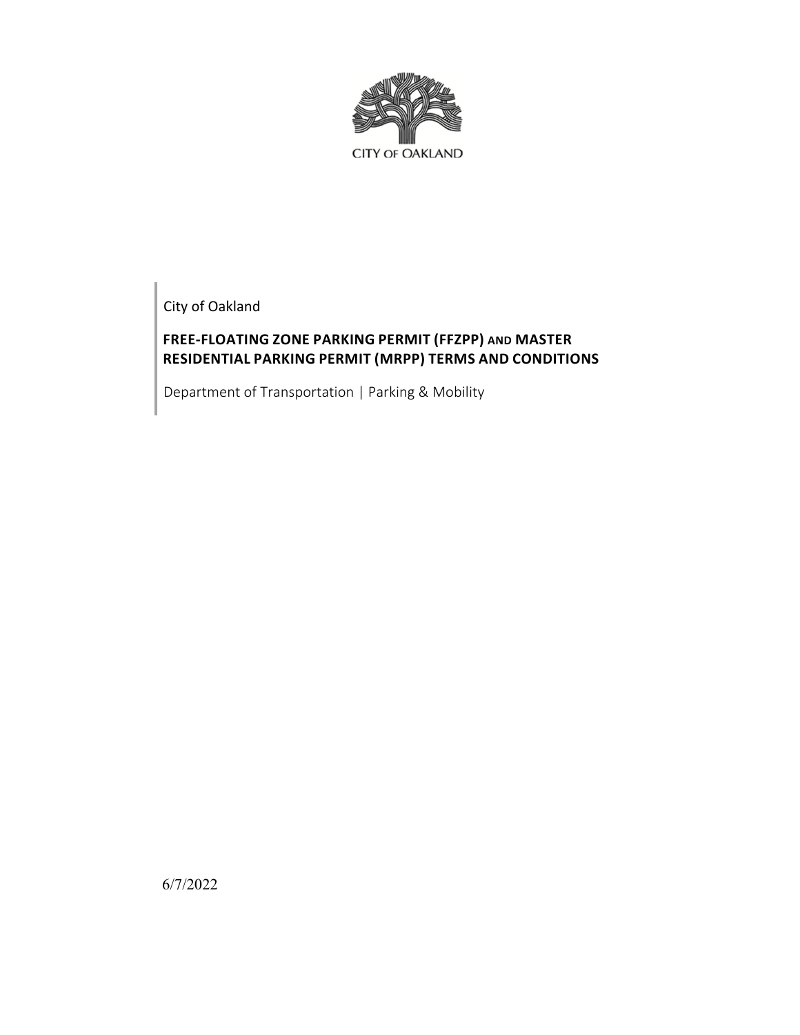

City of Oakland

# **FREE‐FLOATING ZONE PARKING PERMIT (FFZPP) AND MASTER RESIDENTIAL PARKING PERMIT (MRPP) TERMS AND CONDITIONS**

Department of Transportation | Parking & Mobility

6/7/2022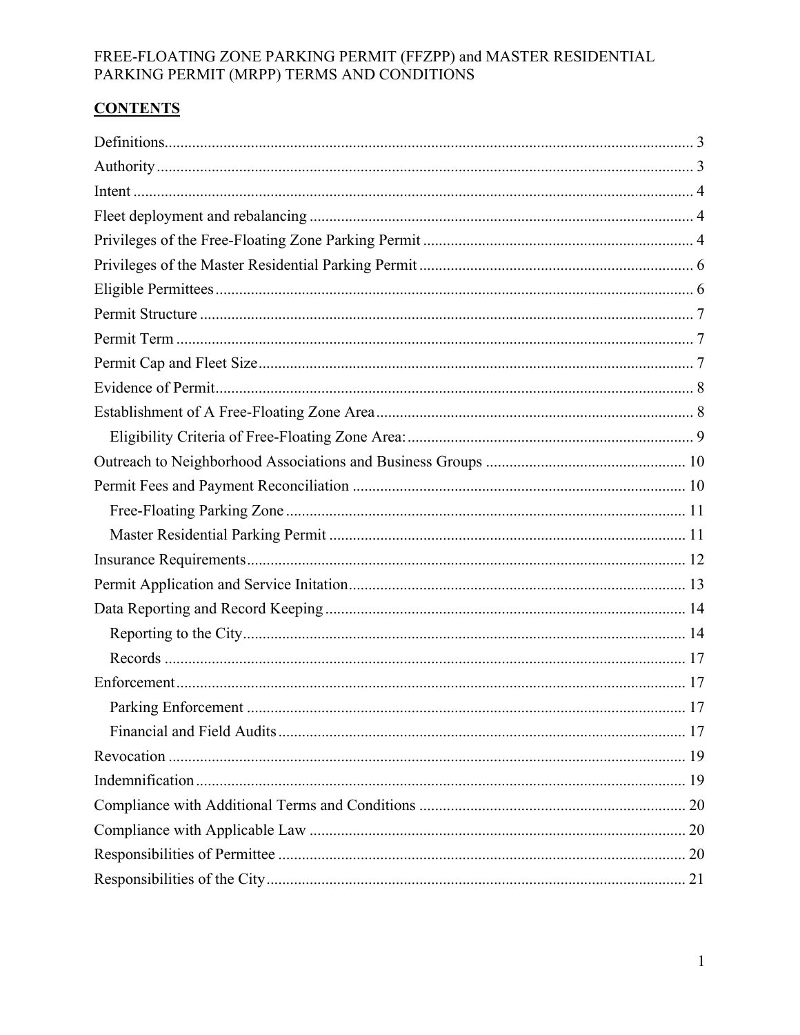# **CONTENTS**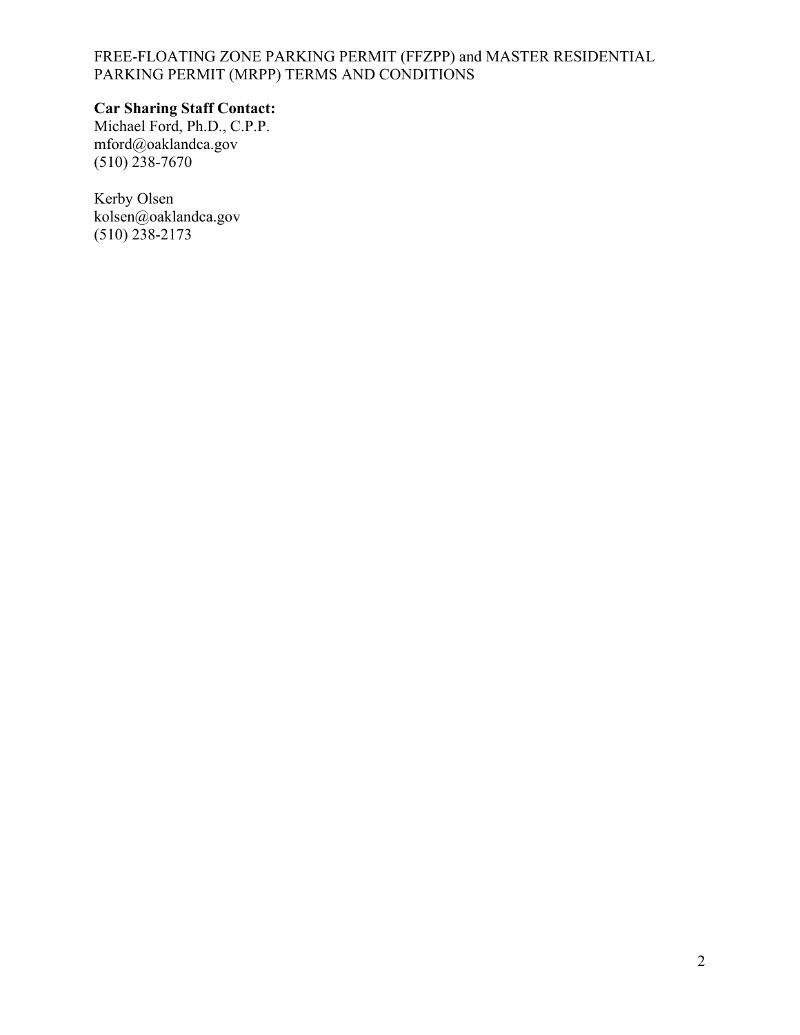# **Car Sharing Staff Contact:**

Michael Ford, Ph.D., C.P.P. mford@oaklandca.gov  $(510)$  238-7670

Kerby Olsen kolsen@oaklandca.gov (510) 238-2173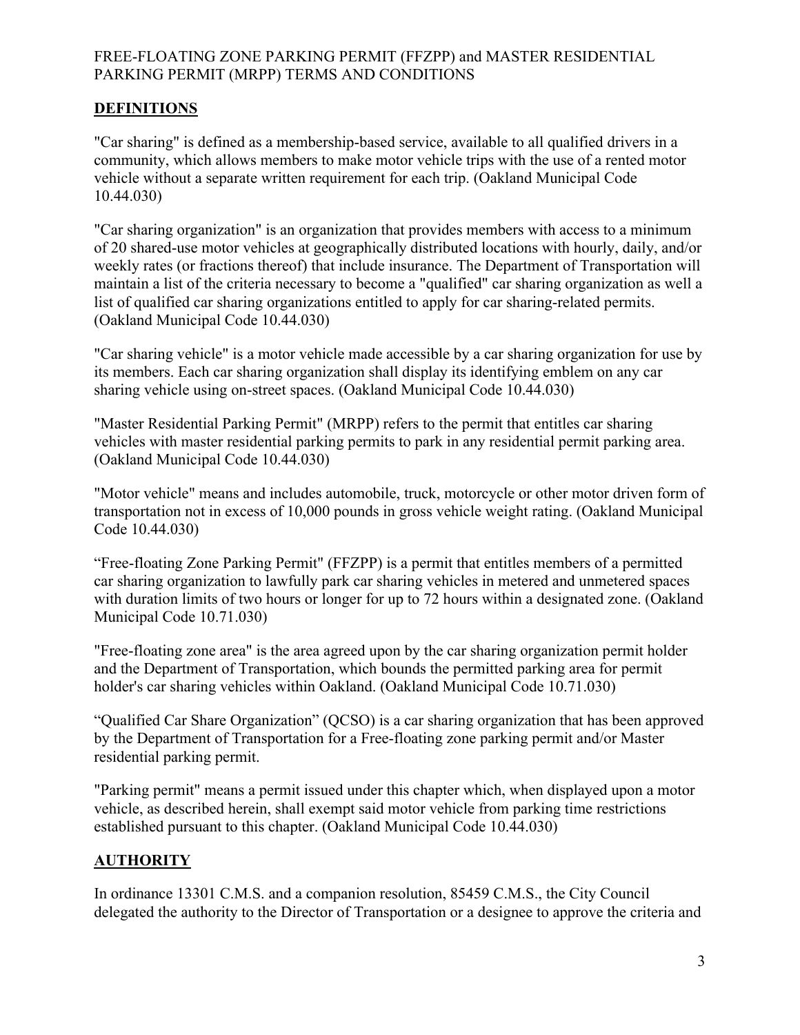# **DEFINITIONS**

"Car sharing" is defined as a membership-based service, available to all qualified drivers in a community, which allows members to make motor vehicle trips with the use of a rented motor vehicle without a separate written requirement for each trip. (Oakland Municipal Code 10.44.030)

"Car sharing organization" is an organization that provides members with access to a minimum of 20 shared-use motor vehicles at geographically distributed locations with hourly, daily, and/or weekly rates (or fractions thereof) that include insurance. The Department of Transportation will maintain a list of the criteria necessary to become a "qualified" car sharing organization as well a list of qualified car sharing organizations entitled to apply for car sharing-related permits. (Oakland Municipal Code 10.44.030)

"Car sharing vehicle" is a motor vehicle made accessible by a car sharing organization for use by its members. Each car sharing organization shall display its identifying emblem on any car sharing vehicle using on-street spaces. (Oakland Municipal Code 10.44.030)

"Master Residential Parking Permit" (MRPP) refers to the permit that entitles car sharing vehicles with master residential parking permits to park in any residential permit parking area. (Oakland Municipal Code 10.44.030)

"Motor vehicle" means and includes automobile, truck, motorcycle or other motor driven form of transportation not in excess of 10,000 pounds in gross vehicle weight rating. (Oakland Municipal Code 10.44.030)

"Free-floating Zone Parking Permit" (FFZPP) is a permit that entitles members of a permitted car sharing organization to lawfully park car sharing vehicles in metered and unmetered spaces with duration limits of two hours or longer for up to 72 hours within a designated zone. (Oakland Municipal Code 10.71.030)

"Free-floating zone area" is the area agreed upon by the car sharing organization permit holder and the Department of Transportation, which bounds the permitted parking area for permit holder's car sharing vehicles within Oakland. (Oakland Municipal Code 10.71.030)

"Qualified Car Share Organization" (QCSO) is a car sharing organization that has been approved by the Department of Transportation for a Free-floating zone parking permit and/or Master residential parking permit.

"Parking permit" means a permit issued under this chapter which, when displayed upon a motor vehicle, as described herein, shall exempt said motor vehicle from parking time restrictions established pursuant to this chapter. (Oakland Municipal Code 10.44.030)

## **AUTHORITY**

In ordinance 13301 C.M.S. and a companion resolution, 85459 C.M.S., the City Council delegated the authority to the Director of Transportation or a designee to approve the criteria and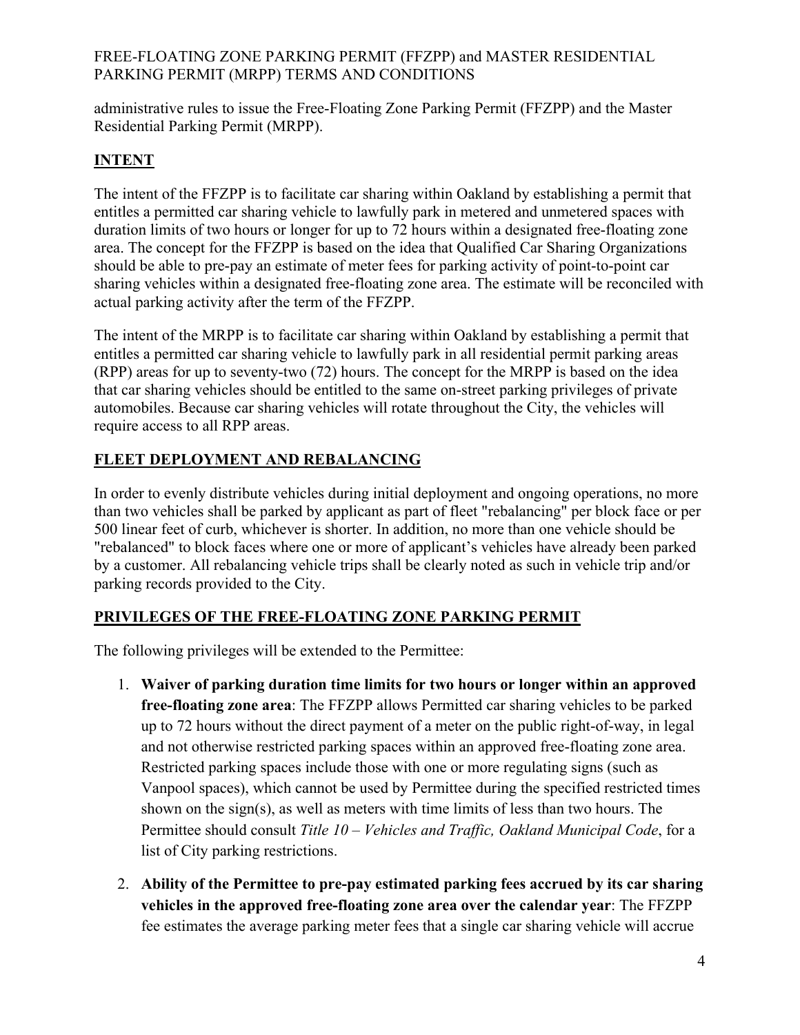administrative rules to issue the Free-Floating Zone Parking Permit (FFZPP) and the Master Residential Parking Permit (MRPP).

# **INTENT**

The intent of the FFZPP is to facilitate car sharing within Oakland by establishing a permit that entitles a permitted car sharing vehicle to lawfully park in metered and unmetered spaces with duration limits of two hours or longer for up to 72 hours within a designated free-floating zone area. The concept for the FFZPP is based on the idea that Qualified Car Sharing Organizations should be able to pre-pay an estimate of meter fees for parking activity of point-to-point car sharing vehicles within a designated free-floating zone area. The estimate will be reconciled with actual parking activity after the term of the FFZPP.

The intent of the MRPP is to facilitate car sharing within Oakland by establishing a permit that entitles a permitted car sharing vehicle to lawfully park in all residential permit parking areas (RPP) areas for up to seventy-two (72) hours. The concept for the MRPP is based on the idea that car sharing vehicles should be entitled to the same on-street parking privileges of private automobiles. Because car sharing vehicles will rotate throughout the City, the vehicles will require access to all RPP areas.

# **FLEET DEPLOYMENT AND REBALANCING**

In order to evenly distribute vehicles during initial deployment and ongoing operations, no more than two vehicles shall be parked by applicant as part of fleet "rebalancing" per block face or per 500 linear feet of curb, whichever is shorter. In addition, no more than one vehicle should be "rebalanced" to block faces where one or more of applicant's vehicles have already been parked by a customer. All rebalancing vehicle trips shall be clearly noted as such in vehicle trip and/or parking records provided to the City.

# **PRIVILEGES OF THE FREE-FLOATING ZONE PARKING PERMIT**

The following privileges will be extended to the Permittee:

- 1. **Waiver of parking duration time limits for two hours or longer within an approved free-floating zone area**: The FFZPP allows Permitted car sharing vehicles to be parked up to 72 hours without the direct payment of a meter on the public right-of-way, in legal and not otherwise restricted parking spaces within an approved free-floating zone area. Restricted parking spaces include those with one or more regulating signs (such as Vanpool spaces), which cannot be used by Permittee during the specified restricted times shown on the sign(s), as well as meters with time limits of less than two hours. The Permittee should consult *Title 10 – Vehicles and Traffic, Oakland Municipal Code*, for a list of City parking restrictions.
- 2. **Ability of the Permittee to pre-pay estimated parking fees accrued by its car sharing vehicles in the approved free-floating zone area over the calendar year**: The FFZPP fee estimates the average parking meter fees that a single car sharing vehicle will accrue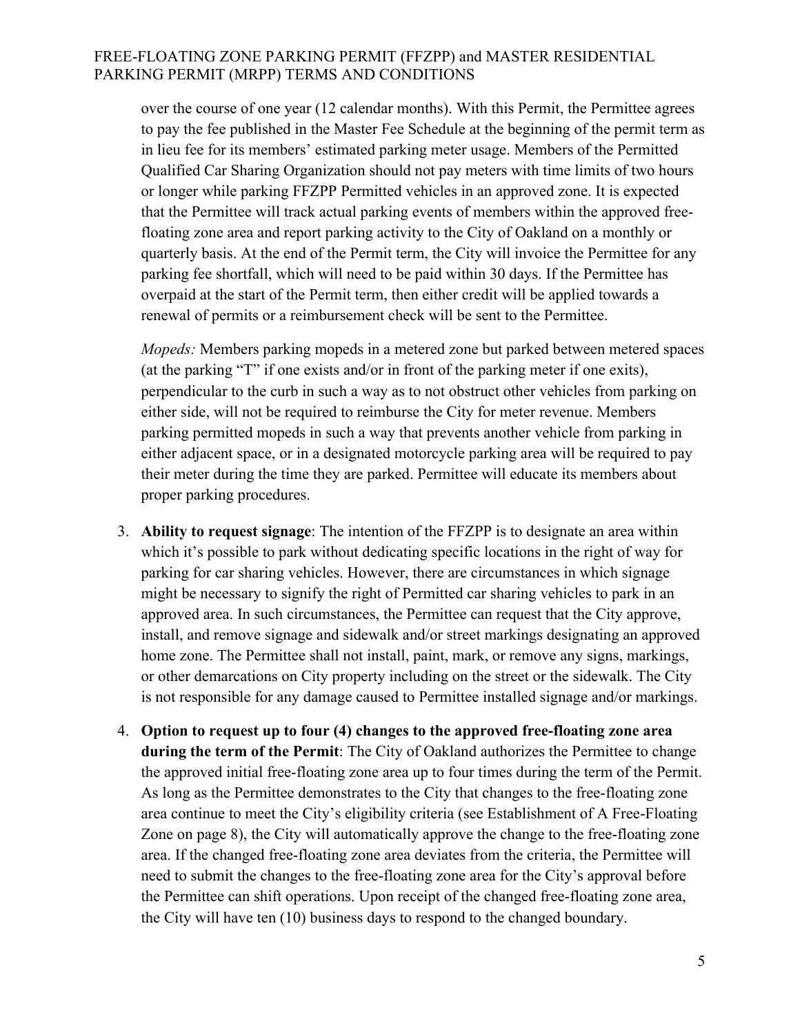over the course of one year (12 calendar months). With this Permit, the Permittee agrees to pay the fee published in the Master Fee Schedule at the beginning of the permit term as in lieu fee for its members' estimated parking meter usage. Members of the Permitted Qualified Car Sharing Organization should not pay meters with time limits of two hours or longer while parking FFZPP Permitted vehicles in an approved zone. It is expected that the Permittee will track actual parking events of members within the approved freefloating zone area and report parking activity to the City of Oakland on a monthly or quarterly basis. At the end of the Permit term, the City will invoice the Permittee for any parking fee shortfall, which will need to be paid within 30 days. If the Permittee has overpaid at the start of the Permit term, then either credit will be applied towards a renewal of permits or a reimbursement check will be sent to the Permittee.

*Mopeds:* Members parking mopeds in a metered zone but parked between metered spaces (at the parking "T" if one exists and/or in front of the parking meter if one exits), perpendicular to the curb in such a way as to not obstruct other vehicles from parking on either side, will not be required to reimburse the City for meter revenue. Members parking permitted mopeds in such a way that prevents another vehicle from parking in either adjacent space, or in a designated motorcycle parking area will be required to pay their meter during the time they are parked. Permittee will educate its members about proper parking procedures.

- 3. **Ability to request signage**: The intention of the FFZPP is to designate an area within which it's possible to park without dedicating specific locations in the right of way for parking for car sharing vehicles. However, there are circumstances in which signage might be necessary to signify the right of Permitted car sharing vehicles to park in an approved area. In such circumstances, the Permittee can request that the City approve, install, and remove signage and sidewalk and/or street markings designating an approved home zone. The Permittee shall not install, paint, mark, or remove any signs, markings, or other demarcations on City property including on the street or the sidewalk. The City is not responsible for any damage caused to Permittee installed signage and/or markings.
- 4. **Option to request up to four (4) changes to the approved free-floating zone area during the term of the Permit**: The City of Oakland authorizes the Permittee to change the approved initial free-floating zone area up to four times during the term of the Permit. As long as the Permittee demonstrates to the City that changes to the free-floating zone area continue to meet the City's eligibility criteria (see Establishment of A Free-Floating Zone on page 8), the City will automatically approve the change to the free-floating zone area. If the changed free-floating zone area deviates from the criteria, the Permittee will need to submit the changes to the free-floating zone area for the City's approval before the Permittee can shift operations. Upon receipt of the changed free-floating zone area, the City will have ten (10) business days to respond to the changed boundary.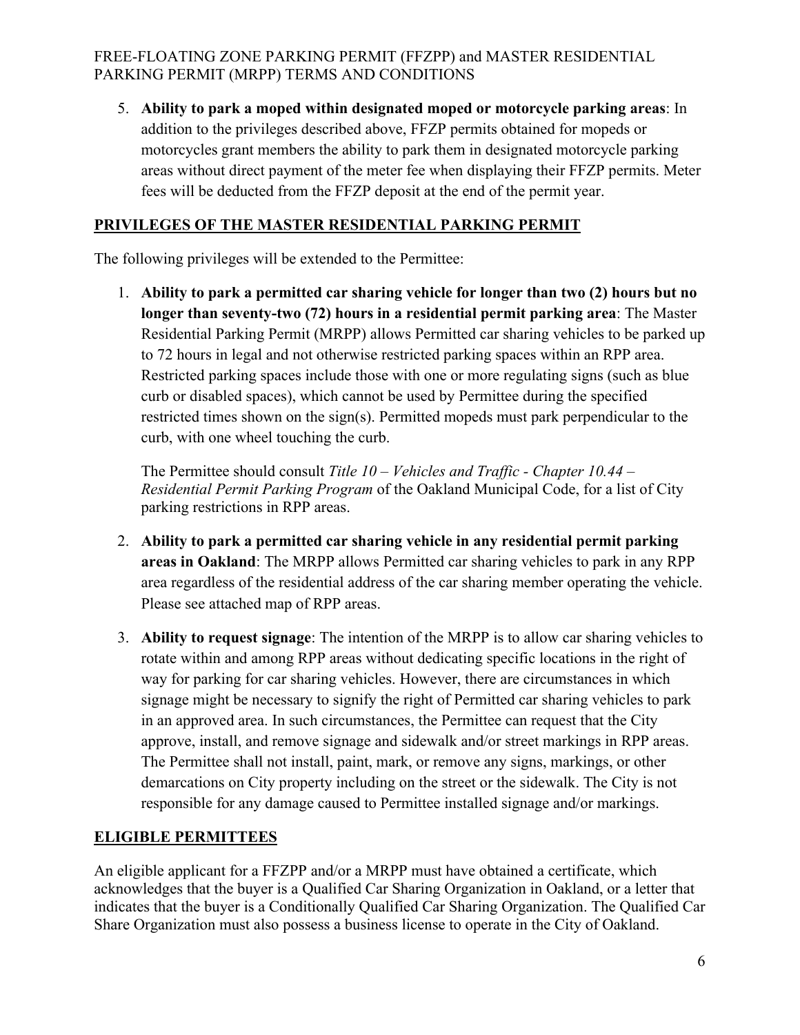5. **Ability to park a moped within designated moped or motorcycle parking areas**: In addition to the privileges described above, FFZP permits obtained for mopeds or motorcycles grant members the ability to park them in designated motorcycle parking areas without direct payment of the meter fee when displaying their FFZP permits. Meter fees will be deducted from the FFZP deposit at the end of the permit year.

# **PRIVILEGES OF THE MASTER RESIDENTIAL PARKING PERMIT**

The following privileges will be extended to the Permittee:

1. **Ability to park a permitted car sharing vehicle for longer than two (2) hours but no longer than seventy-two (72) hours in a residential permit parking area**: The Master Residential Parking Permit (MRPP) allows Permitted car sharing vehicles to be parked up to 72 hours in legal and not otherwise restricted parking spaces within an RPP area. Restricted parking spaces include those with one or more regulating signs (such as blue curb or disabled spaces), which cannot be used by Permittee during the specified restricted times shown on the sign(s). Permitted mopeds must park perpendicular to the curb, with one wheel touching the curb.

The Permittee should consult *Title 10 – Vehicles and Traffic - Chapter 10.44 – Residential Permit Parking Program* of the Oakland Municipal Code, for a list of City parking restrictions in RPP areas.

- 2. **Ability to park a permitted car sharing vehicle in any residential permit parking areas in Oakland**: The MRPP allows Permitted car sharing vehicles to park in any RPP area regardless of the residential address of the car sharing member operating the vehicle. Please see attached map of RPP areas.
- 3. **Ability to request signage**: The intention of the MRPP is to allow car sharing vehicles to rotate within and among RPP areas without dedicating specific locations in the right of way for parking for car sharing vehicles. However, there are circumstances in which signage might be necessary to signify the right of Permitted car sharing vehicles to park in an approved area. In such circumstances, the Permittee can request that the City approve, install, and remove signage and sidewalk and/or street markings in RPP areas. The Permittee shall not install, paint, mark, or remove any signs, markings, or other demarcations on City property including on the street or the sidewalk. The City is not responsible for any damage caused to Permittee installed signage and/or markings.

# **ELIGIBLE PERMITTEES**

An eligible applicant for a FFZPP and/or a MRPP must have obtained a certificate, which acknowledges that the buyer is a Qualified Car Sharing Organization in Oakland, or a letter that indicates that the buyer is a Conditionally Qualified Car Sharing Organization. The Qualified Car Share Organization must also possess a business license to operate in the City of Oakland.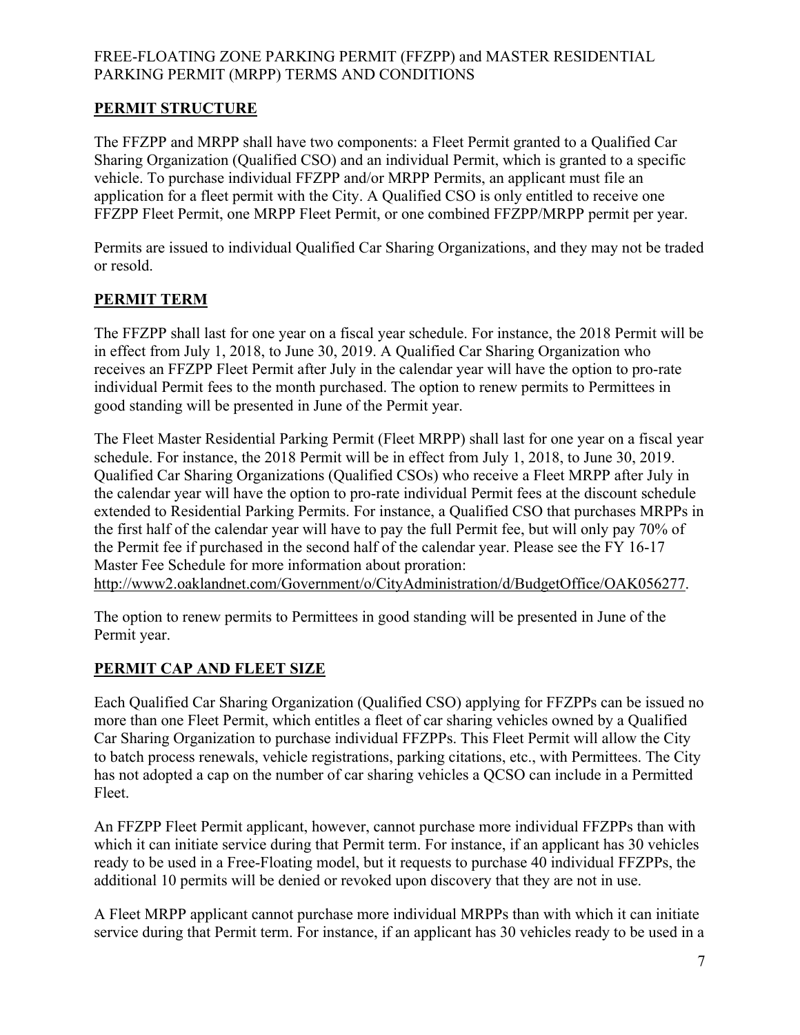# **PERMIT STRUCTURE**

The FFZPP and MRPP shall have two components: a Fleet Permit granted to a Qualified Car Sharing Organization (Qualified CSO) and an individual Permit, which is granted to a specific vehicle. To purchase individual FFZPP and/or MRPP Permits, an applicant must file an application for a fleet permit with the City. A Qualified CSO is only entitled to receive one FFZPP Fleet Permit, one MRPP Fleet Permit, or one combined FFZPP/MRPP permit per year.

Permits are issued to individual Qualified Car Sharing Organizations, and they may not be traded or resold.

# **PERMIT TERM**

The FFZPP shall last for one year on a fiscal year schedule. For instance, the 2018 Permit will be in effect from July 1, 2018, to June 30, 2019. A Qualified Car Sharing Organization who receives an FFZPP Fleet Permit after July in the calendar year will have the option to pro-rate individual Permit fees to the month purchased. The option to renew permits to Permittees in good standing will be presented in June of the Permit year.

The Fleet Master Residential Parking Permit (Fleet MRPP) shall last for one year on a fiscal year schedule. For instance, the 2018 Permit will be in effect from July 1, 2018, to June 30, 2019. Qualified Car Sharing Organizations (Qualified CSOs) who receive a Fleet MRPP after July in the calendar year will have the option to pro-rate individual Permit fees at the discount schedule extended to Residential Parking Permits. For instance, a Qualified CSO that purchases MRPPs in the first half of the calendar year will have to pay the full Permit fee, but will only pay 70% of the Permit fee if purchased in the second half of the calendar year. Please see the FY 16-17 Master Fee Schedule for more information about proration: http://www2.oaklandnet.com/Government/o/CityAdministration/d/BudgetOffice/OAK056277.

The option to renew permits to Permittees in good standing will be presented in June of the Permit year.

# **PERMIT CAP AND FLEET SIZE**

Each Qualified Car Sharing Organization (Qualified CSO) applying for FFZPPs can be issued no more than one Fleet Permit, which entitles a fleet of car sharing vehicles owned by a Qualified Car Sharing Organization to purchase individual FFZPPs. This Fleet Permit will allow the City to batch process renewals, vehicle registrations, parking citations, etc., with Permittees. The City has not adopted a cap on the number of car sharing vehicles a QCSO can include in a Permitted Fleet.

An FFZPP Fleet Permit applicant, however, cannot purchase more individual FFZPPs than with which it can initiate service during that Permit term. For instance, if an applicant has 30 vehicles ready to be used in a Free-Floating model, but it requests to purchase 40 individual FFZPPs, the additional 10 permits will be denied or revoked upon discovery that they are not in use.

A Fleet MRPP applicant cannot purchase more individual MRPPs than with which it can initiate service during that Permit term. For instance, if an applicant has 30 vehicles ready to be used in a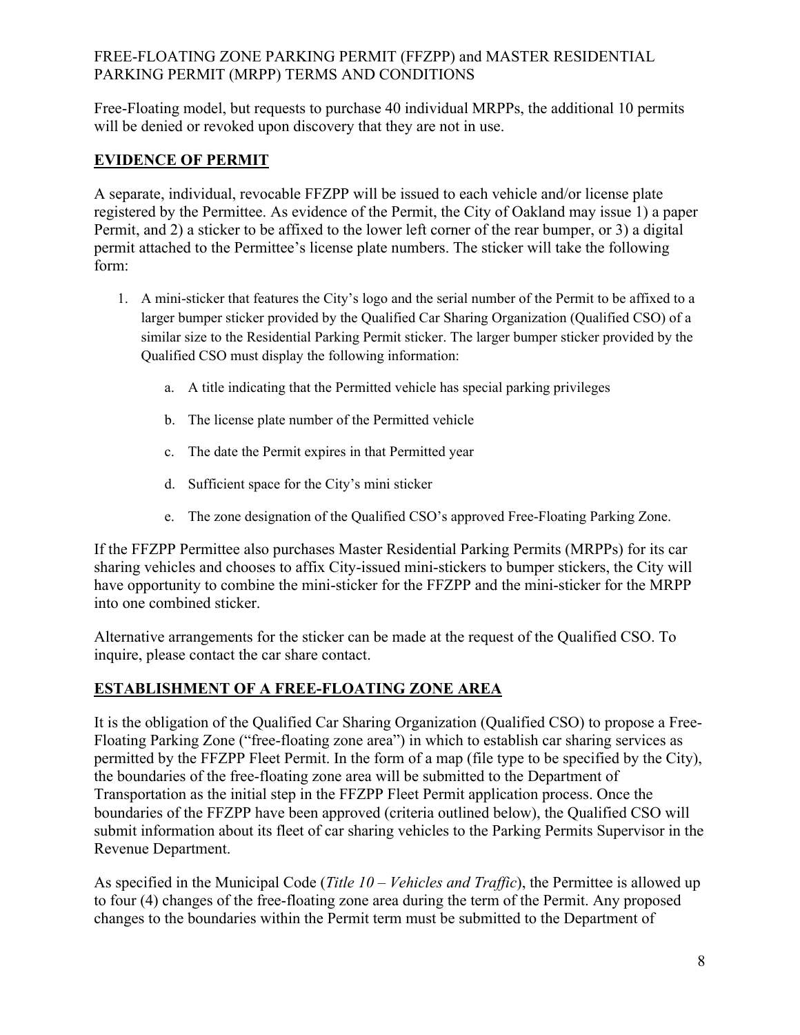Free-Floating model, but requests to purchase 40 individual MRPPs, the additional 10 permits will be denied or revoked upon discovery that they are not in use.

# **EVIDENCE OF PERMIT**

A separate, individual, revocable FFZPP will be issued to each vehicle and/or license plate registered by the Permittee. As evidence of the Permit, the City of Oakland may issue 1) a paper Permit, and 2) a sticker to be affixed to the lower left corner of the rear bumper, or 3) a digital permit attached to the Permittee's license plate numbers. The sticker will take the following form:

- 1. A mini-sticker that features the City's logo and the serial number of the Permit to be affixed to a larger bumper sticker provided by the Qualified Car Sharing Organization (Qualified CSO) of a similar size to the Residential Parking Permit sticker. The larger bumper sticker provided by the Qualified CSO must display the following information:
	- a. A title indicating that the Permitted vehicle has special parking privileges
	- b. The license plate number of the Permitted vehicle
	- c. The date the Permit expires in that Permitted year
	- d. Sufficient space for the City's mini sticker
	- e. The zone designation of the Qualified CSO's approved Free-Floating Parking Zone.

If the FFZPP Permittee also purchases Master Residential Parking Permits (MRPPs) for its car sharing vehicles and chooses to affix City-issued mini-stickers to bumper stickers, the City will have opportunity to combine the mini-sticker for the FFZPP and the mini-sticker for the MRPP into one combined sticker.

Alternative arrangements for the sticker can be made at the request of the Qualified CSO. To inquire, please contact the car share contact.

# **ESTABLISHMENT OF A FREE-FLOATING ZONE AREA**

It is the obligation of the Qualified Car Sharing Organization (Qualified CSO) to propose a Free-Floating Parking Zone ("free-floating zone area") in which to establish car sharing services as permitted by the FFZPP Fleet Permit. In the form of a map (file type to be specified by the City), the boundaries of the free-floating zone area will be submitted to the Department of Transportation as the initial step in the FFZPP Fleet Permit application process. Once the boundaries of the FFZPP have been approved (criteria outlined below), the Qualified CSO will submit information about its fleet of car sharing vehicles to the Parking Permits Supervisor in the Revenue Department.

As specified in the Municipal Code (*Title 10 – Vehicles and Traffic*), the Permittee is allowed up to four (4) changes of the free-floating zone area during the term of the Permit. Any proposed changes to the boundaries within the Permit term must be submitted to the Department of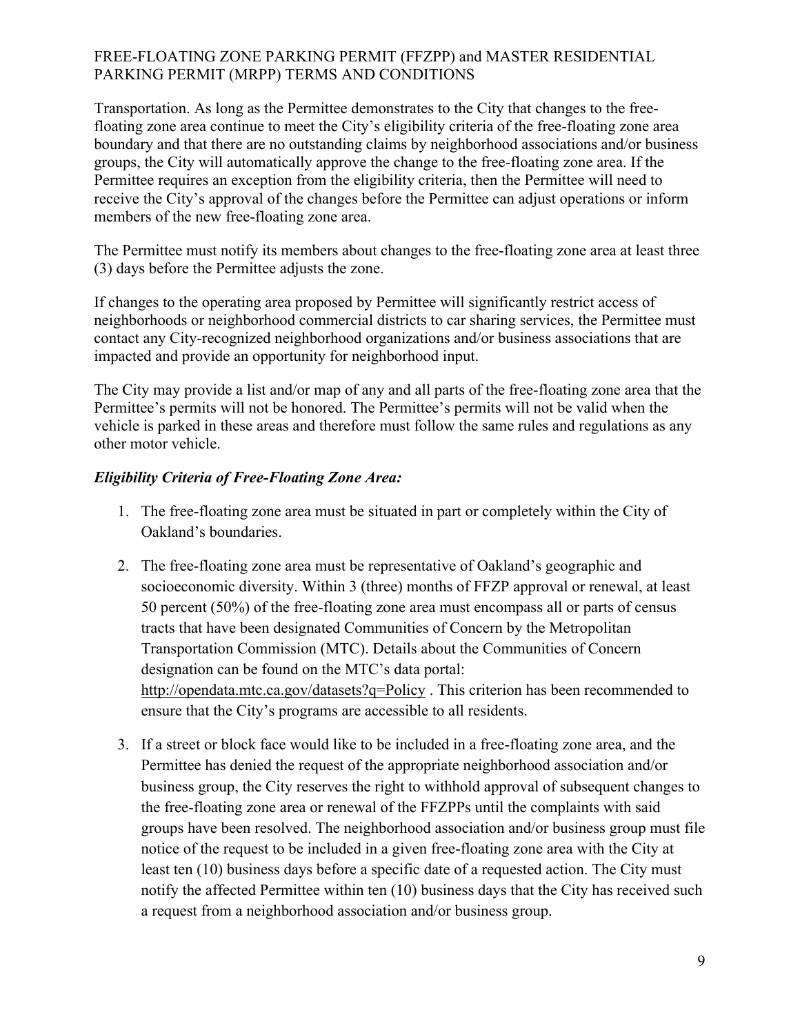Transportation. As long as the Permittee demonstrates to the City that changes to the freefloating zone area continue to meet the City's eligibility criteria of the free-floating zone area boundary and that there are no outstanding claims by neighborhood associations and/or business groups, the City will automatically approve the change to the free-floating zone area. If the Permittee requires an exception from the eligibility criteria, then the Permittee will need to receive the City's approval of the changes before the Permittee can adjust operations or inform members of the new free-floating zone area.

The Permittee must notify its members about changes to the free-floating zone area at least three (3) days before the Permittee adjusts the zone.

If changes to the operating area proposed by Permittee will significantly restrict access of neighborhoods or neighborhood commercial districts to car sharing services, the Permittee must contact any City-recognized neighborhood organizations and/or business associations that are impacted and provide an opportunity for neighborhood input.

The City may provide a list and/or map of any and all parts of the free-floating zone area that the Permittee's permits will not be honored. The Permittee's permits will not be valid when the vehicle is parked in these areas and therefore must follow the same rules and regulations as any other motor vehicle.

# *Eligibility Criteria of Free-Floating Zone Area:*

- 1. The free-floating zone area must be situated in part or completely within the City of Oakland's boundaries.
- 2. The free-floating zone area must be representative of Oakland's geographic and socioeconomic diversity. Within 3 (three) months of FFZP approval or renewal, at least 50 percent (50%) of the free-floating zone area must encompass all or parts of census tracts that have been designated Communities of Concern by the Metropolitan Transportation Commission (MTC). Details about the Communities of Concern designation can be found on the MTC's data portal: http://opendata.mtc.ca.gov/datasets?q=Policy . This criterion has been recommended to ensure that the City's programs are accessible to all residents.
- 3. If a street or block face would like to be included in a free-floating zone area, and the Permittee has denied the request of the appropriate neighborhood association and/or business group, the City reserves the right to withhold approval of subsequent changes to the free-floating zone area or renewal of the FFZPPs until the complaints with said groups have been resolved. The neighborhood association and/or business group must file notice of the request to be included in a given free-floating zone area with the City at least ten (10) business days before a specific date of a requested action. The City must notify the affected Permittee within ten (10) business days that the City has received such a request from a neighborhood association and/or business group.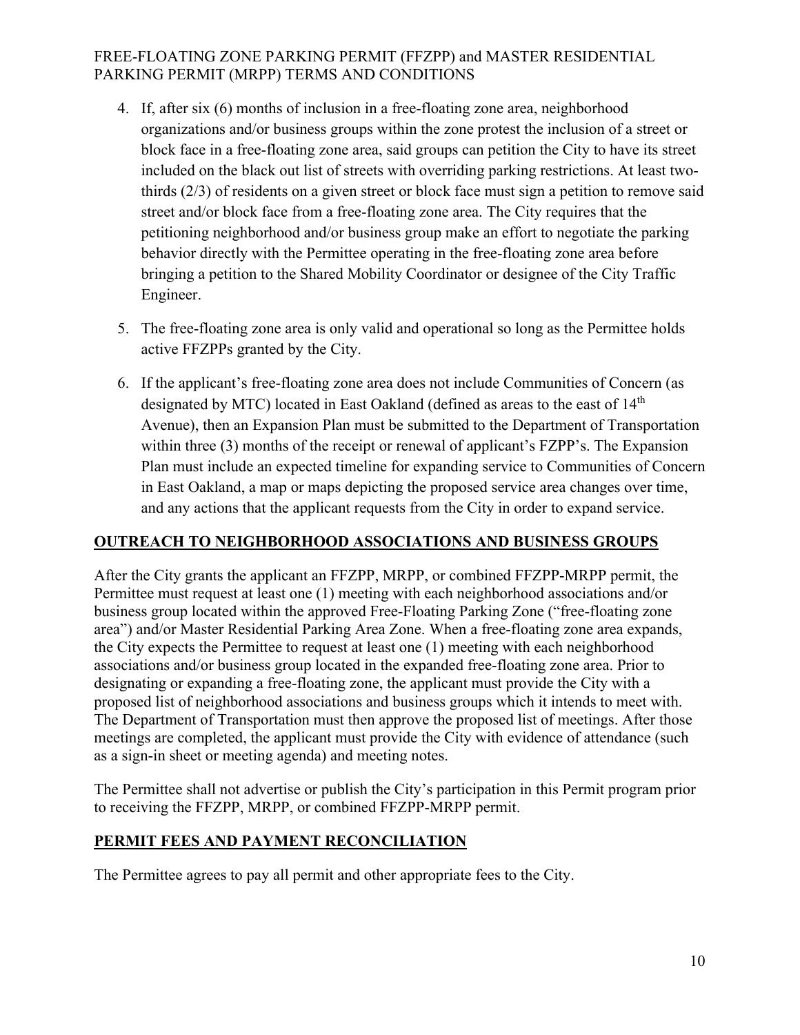- 4. If, after six (6) months of inclusion in a free-floating zone area, neighborhood organizations and/or business groups within the zone protest the inclusion of a street or block face in a free-floating zone area, said groups can petition the City to have its street included on the black out list of streets with overriding parking restrictions. At least twothirds (2/3) of residents on a given street or block face must sign a petition to remove said street and/or block face from a free-floating zone area. The City requires that the petitioning neighborhood and/or business group make an effort to negotiate the parking behavior directly with the Permittee operating in the free-floating zone area before bringing a petition to the Shared Mobility Coordinator or designee of the City Traffic Engineer.
- 5. The free-floating zone area is only valid and operational so long as the Permittee holds active FFZPPs granted by the City.
- 6. If the applicant's free-floating zone area does not include Communities of Concern (as designated by MTC) located in East Oakland (defined as areas to the east of 14<sup>th</sup> Avenue), then an Expansion Plan must be submitted to the Department of Transportation within three (3) months of the receipt or renewal of applicant's FZPP's. The Expansion Plan must include an expected timeline for expanding service to Communities of Concern in East Oakland, a map or maps depicting the proposed service area changes over time, and any actions that the applicant requests from the City in order to expand service.

# **OUTREACH TO NEIGHBORHOOD ASSOCIATIONS AND BUSINESS GROUPS**

After the City grants the applicant an FFZPP, MRPP, or combined FFZPP-MRPP permit, the Permittee must request at least one (1) meeting with each neighborhood associations and/or business group located within the approved Free-Floating Parking Zone ("free-floating zone area") and/or Master Residential Parking Area Zone. When a free-floating zone area expands, the City expects the Permittee to request at least one (1) meeting with each neighborhood associations and/or business group located in the expanded free-floating zone area. Prior to designating or expanding a free-floating zone, the applicant must provide the City with a proposed list of neighborhood associations and business groups which it intends to meet with. The Department of Transportation must then approve the proposed list of meetings. After those meetings are completed, the applicant must provide the City with evidence of attendance (such as a sign-in sheet or meeting agenda) and meeting notes.

The Permittee shall not advertise or publish the City's participation in this Permit program prior to receiving the FFZPP, MRPP, or combined FFZPP-MRPP permit.

## **PERMIT FEES AND PAYMENT RECONCILIATION**

The Permittee agrees to pay all permit and other appropriate fees to the City.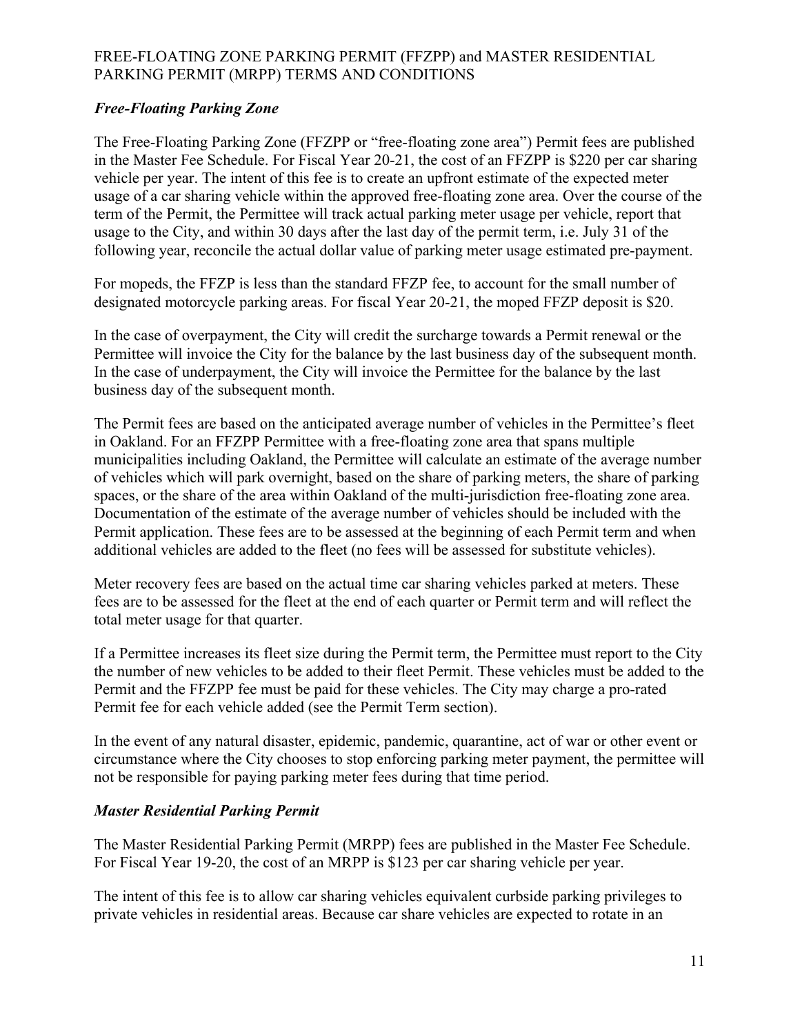# *Free-Floating Parking Zone*

The Free-Floating Parking Zone (FFZPP or "free-floating zone area") Permit fees are published in the Master Fee Schedule. For Fiscal Year 20-21, the cost of an FFZPP is \$220 per car sharing vehicle per year. The intent of this fee is to create an upfront estimate of the expected meter usage of a car sharing vehicle within the approved free-floating zone area. Over the course of the term of the Permit, the Permittee will track actual parking meter usage per vehicle, report that usage to the City, and within 30 days after the last day of the permit term, i.e. July 31 of the following year, reconcile the actual dollar value of parking meter usage estimated pre-payment.

For mopeds, the FFZP is less than the standard FFZP fee, to account for the small number of designated motorcycle parking areas. For fiscal Year 20-21, the moped FFZP deposit is \$20.

In the case of overpayment, the City will credit the surcharge towards a Permit renewal or the Permittee will invoice the City for the balance by the last business day of the subsequent month. In the case of underpayment, the City will invoice the Permittee for the balance by the last business day of the subsequent month.

The Permit fees are based on the anticipated average number of vehicles in the Permittee's fleet in Oakland. For an FFZPP Permittee with a free-floating zone area that spans multiple municipalities including Oakland, the Permittee will calculate an estimate of the average number of vehicles which will park overnight, based on the share of parking meters, the share of parking spaces, or the share of the area within Oakland of the multi-jurisdiction free-floating zone area. Documentation of the estimate of the average number of vehicles should be included with the Permit application. These fees are to be assessed at the beginning of each Permit term and when additional vehicles are added to the fleet (no fees will be assessed for substitute vehicles).

Meter recovery fees are based on the actual time car sharing vehicles parked at meters. These fees are to be assessed for the fleet at the end of each quarter or Permit term and will reflect the total meter usage for that quarter.

If a Permittee increases its fleet size during the Permit term, the Permittee must report to the City the number of new vehicles to be added to their fleet Permit. These vehicles must be added to the Permit and the FFZPP fee must be paid for these vehicles. The City may charge a pro-rated Permit fee for each vehicle added (see the Permit Term section).

In the event of any natural disaster, epidemic, pandemic, quarantine, act of war or other event or circumstance where the City chooses to stop enforcing parking meter payment, the permittee will not be responsible for paying parking meter fees during that time period.

## *Master Residential Parking Permit*

The Master Residential Parking Permit (MRPP) fees are published in the Master Fee Schedule. For Fiscal Year 19-20, the cost of an MRPP is \$123 per car sharing vehicle per year.

The intent of this fee is to allow car sharing vehicles equivalent curbside parking privileges to private vehicles in residential areas. Because car share vehicles are expected to rotate in an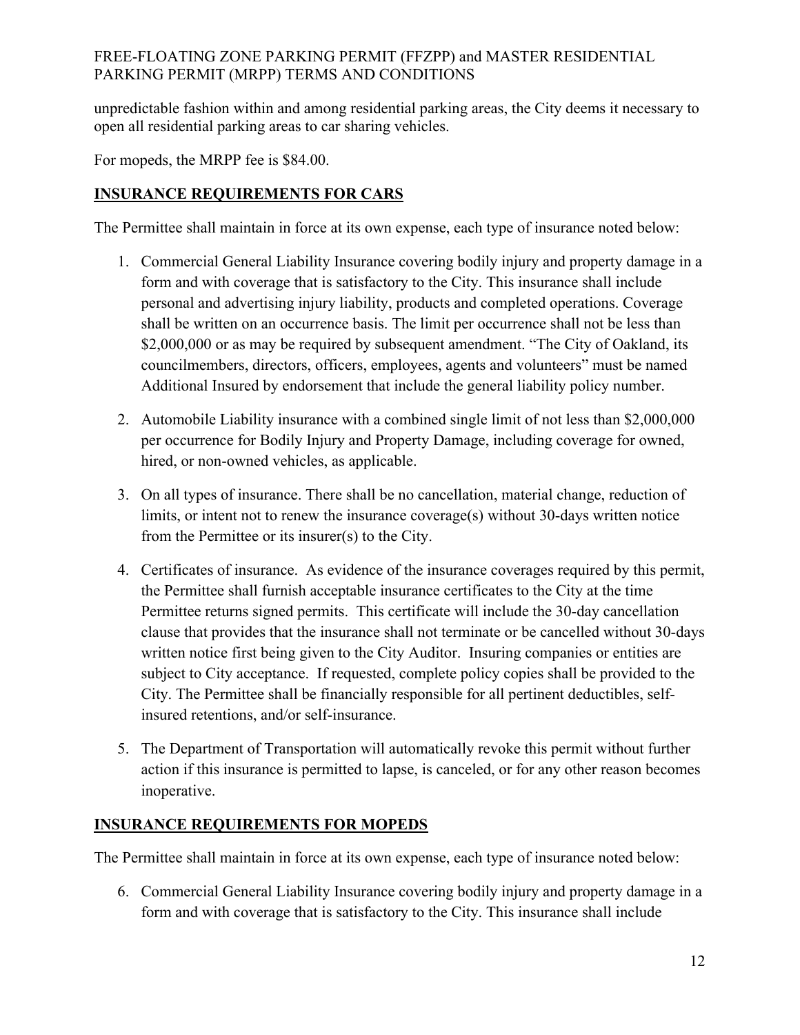unpredictable fashion within and among residential parking areas, the City deems it necessary to open all residential parking areas to car sharing vehicles.

For mopeds, the MRPP fee is \$84.00.

# **INSURANCE REQUIREMENTS FOR CARS**

The Permittee shall maintain in force at its own expense, each type of insurance noted below:

- 1. Commercial General Liability Insurance covering bodily injury and property damage in a form and with coverage that is satisfactory to the City. This insurance shall include personal and advertising injury liability, products and completed operations. Coverage shall be written on an occurrence basis. The limit per occurrence shall not be less than \$2,000,000 or as may be required by subsequent amendment. "The City of Oakland, its councilmembers, directors, officers, employees, agents and volunteers" must be named Additional Insured by endorsement that include the general liability policy number.
- 2. Automobile Liability insurance with a combined single limit of not less than \$2,000,000 per occurrence for Bodily Injury and Property Damage, including coverage for owned, hired, or non-owned vehicles, as applicable.
- 3. On all types of insurance. There shall be no cancellation, material change, reduction of limits, or intent not to renew the insurance coverage(s) without 30-days written notice from the Permittee or its insurer(s) to the City.
- 4. Certificates of insurance. As evidence of the insurance coverages required by this permit, the Permittee shall furnish acceptable insurance certificates to the City at the time Permittee returns signed permits. This certificate will include the 30-day cancellation clause that provides that the insurance shall not terminate or be cancelled without 30-days written notice first being given to the City Auditor. Insuring companies or entities are subject to City acceptance. If requested, complete policy copies shall be provided to the City. The Permittee shall be financially responsible for all pertinent deductibles, selfinsured retentions, and/or self-insurance.
- 5. The Department of Transportation will automatically revoke this permit without further action if this insurance is permitted to lapse, is canceled, or for any other reason becomes inoperative.

## **INSURANCE REQUIREMENTS FOR MOPEDS**

The Permittee shall maintain in force at its own expense, each type of insurance noted below:

6. Commercial General Liability Insurance covering bodily injury and property damage in a form and with coverage that is satisfactory to the City. This insurance shall include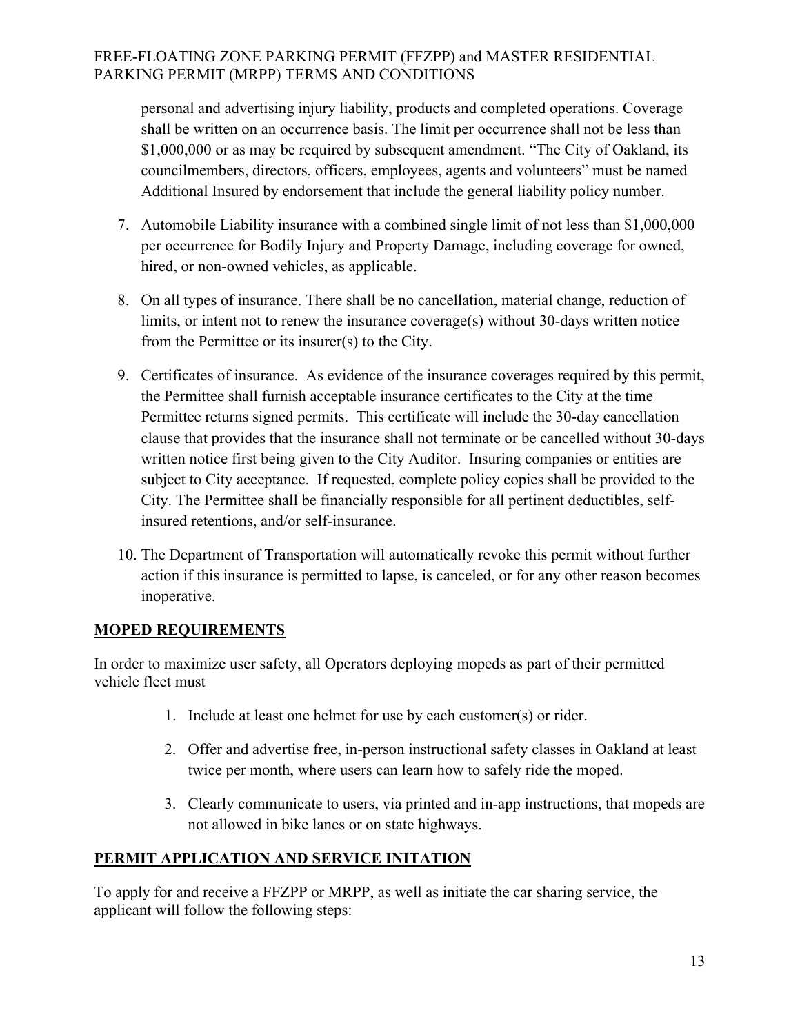personal and advertising injury liability, products and completed operations. Coverage shall be written on an occurrence basis. The limit per occurrence shall not be less than \$1,000,000 or as may be required by subsequent amendment. "The City of Oakland, its councilmembers, directors, officers, employees, agents and volunteers" must be named Additional Insured by endorsement that include the general liability policy number.

- 7. Automobile Liability insurance with a combined single limit of not less than \$1,000,000 per occurrence for Bodily Injury and Property Damage, including coverage for owned, hired, or non-owned vehicles, as applicable.
- 8. On all types of insurance. There shall be no cancellation, material change, reduction of limits, or intent not to renew the insurance coverage(s) without 30-days written notice from the Permittee or its insurer(s) to the City.
- 9. Certificates of insurance. As evidence of the insurance coverages required by this permit, the Permittee shall furnish acceptable insurance certificates to the City at the time Permittee returns signed permits. This certificate will include the 30-day cancellation clause that provides that the insurance shall not terminate or be cancelled without 30-days written notice first being given to the City Auditor. Insuring companies or entities are subject to City acceptance. If requested, complete policy copies shall be provided to the City. The Permittee shall be financially responsible for all pertinent deductibles, selfinsured retentions, and/or self-insurance.
- 10. The Department of Transportation will automatically revoke this permit without further action if this insurance is permitted to lapse, is canceled, or for any other reason becomes inoperative.

## **MOPED REQUIREMENTS**

In order to maximize user safety, all Operators deploying mopeds as part of their permitted vehicle fleet must

- 1. Include at least one helmet for use by each customer(s) or rider.
- 2. Offer and advertise free, in-person instructional safety classes in Oakland at least twice per month, where users can learn how to safely ride the moped.
- 3. Clearly communicate to users, via printed and in-app instructions, that mopeds are not allowed in bike lanes or on state highways.

# **PERMIT APPLICATION AND SERVICE INITATION**

To apply for and receive a FFZPP or MRPP, as well as initiate the car sharing service, the applicant will follow the following steps: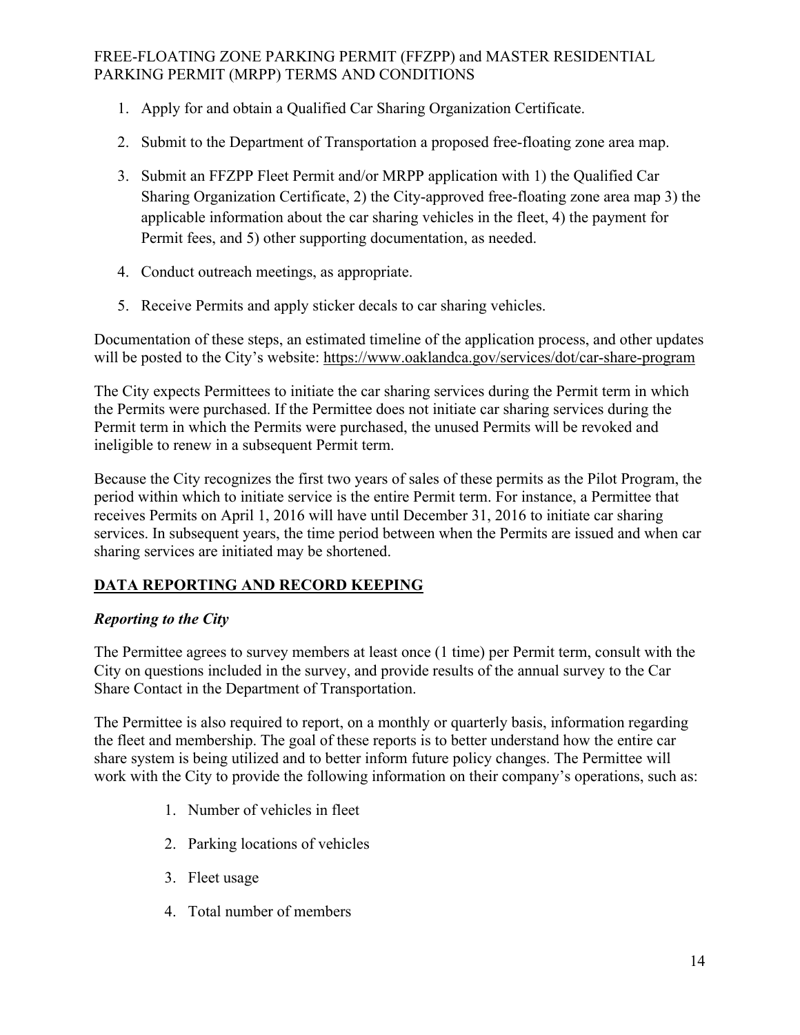- 1. Apply for and obtain a Qualified Car Sharing Organization Certificate.
- 2. Submit to the Department of Transportation a proposed free-floating zone area map.
- 3. Submit an FFZPP Fleet Permit and/or MRPP application with 1) the Qualified Car Sharing Organization Certificate, 2) the City-approved free-floating zone area map 3) the applicable information about the car sharing vehicles in the fleet, 4) the payment for Permit fees, and 5) other supporting documentation, as needed.
- 4. Conduct outreach meetings, as appropriate.
- 5. Receive Permits and apply sticker decals to car sharing vehicles.

Documentation of these steps, an estimated timeline of the application process, and other updates will be posted to the City's website: https://www.oaklandca.gov/services/dot/car-share-program

The City expects Permittees to initiate the car sharing services during the Permit term in which the Permits were purchased. If the Permittee does not initiate car sharing services during the Permit term in which the Permits were purchased, the unused Permits will be revoked and ineligible to renew in a subsequent Permit term.

Because the City recognizes the first two years of sales of these permits as the Pilot Program, the period within which to initiate service is the entire Permit term. For instance, a Permittee that receives Permits on April 1, 2016 will have until December 31, 2016 to initiate car sharing services. In subsequent years, the time period between when the Permits are issued and when car sharing services are initiated may be shortened.

# **DATA REPORTING AND RECORD KEEPING**

# *Reporting to the City*

The Permittee agrees to survey members at least once (1 time) per Permit term, consult with the City on questions included in the survey, and provide results of the annual survey to the Car Share Contact in the Department of Transportation.

The Permittee is also required to report, on a monthly or quarterly basis, information regarding the fleet and membership. The goal of these reports is to better understand how the entire car share system is being utilized and to better inform future policy changes. The Permittee will work with the City to provide the following information on their company's operations, such as:

- 1. Number of vehicles in fleet
- 2. Parking locations of vehicles
- 3. Fleet usage
- 4. Total number of members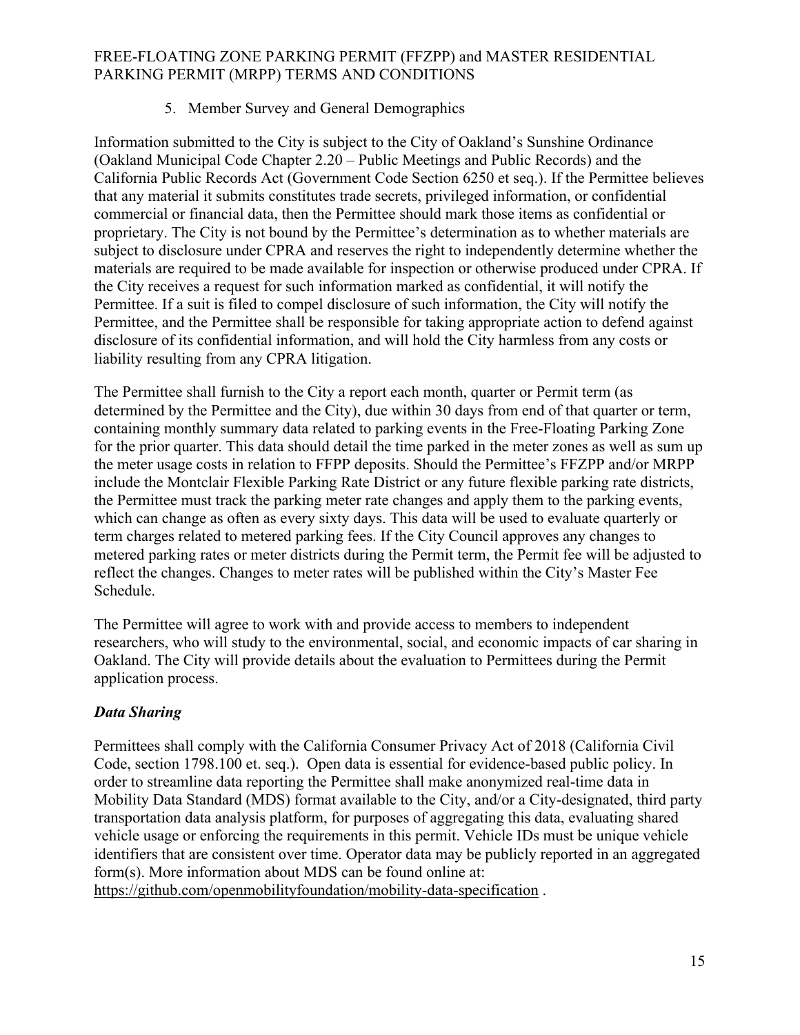# 5. Member Survey and General Demographics

Information submitted to the City is subject to the City of Oakland's Sunshine Ordinance (Oakland Municipal Code Chapter 2.20 – Public Meetings and Public Records) and the California Public Records Act (Government Code Section 6250 et seq.). If the Permittee believes that any material it submits constitutes trade secrets, privileged information, or confidential commercial or financial data, then the Permittee should mark those items as confidential or proprietary. The City is not bound by the Permittee's determination as to whether materials are subject to disclosure under CPRA and reserves the right to independently determine whether the materials are required to be made available for inspection or otherwise produced under CPRA. If the City receives a request for such information marked as confidential, it will notify the Permittee. If a suit is filed to compel disclosure of such information, the City will notify the Permittee, and the Permittee shall be responsible for taking appropriate action to defend against disclosure of its confidential information, and will hold the City harmless from any costs or liability resulting from any CPRA litigation.

The Permittee shall furnish to the City a report each month, quarter or Permit term (as determined by the Permittee and the City), due within 30 days from end of that quarter or term, containing monthly summary data related to parking events in the Free-Floating Parking Zone for the prior quarter. This data should detail the time parked in the meter zones as well as sum up the meter usage costs in relation to FFPP deposits. Should the Permittee's FFZPP and/or MRPP include the Montclair Flexible Parking Rate District or any future flexible parking rate districts, the Permittee must track the parking meter rate changes and apply them to the parking events, which can change as often as every sixty days. This data will be used to evaluate quarterly or term charges related to metered parking fees. If the City Council approves any changes to metered parking rates or meter districts during the Permit term, the Permit fee will be adjusted to reflect the changes. Changes to meter rates will be published within the City's Master Fee Schedule.

The Permittee will agree to work with and provide access to members to independent researchers, who will study to the environmental, social, and economic impacts of car sharing in Oakland. The City will provide details about the evaluation to Permittees during the Permit application process.

# *Data Sharing*

Permittees shall comply with the California Consumer Privacy Act of 2018 (California Civil Code, section 1798.100 et. seq.). Open data is essential for evidence-based public policy. In order to streamline data reporting the Permittee shall make anonymized real-time data in Mobility Data Standard (MDS) format available to the City, and/or a City-designated, third party transportation data analysis platform, for purposes of aggregating this data, evaluating shared vehicle usage or enforcing the requirements in this permit. Vehicle IDs must be unique vehicle identifiers that are consistent over time. Operator data may be publicly reported in an aggregated form(s). More information about MDS can be found online at: https://github.com/openmobilityfoundation/mobility-data-specification .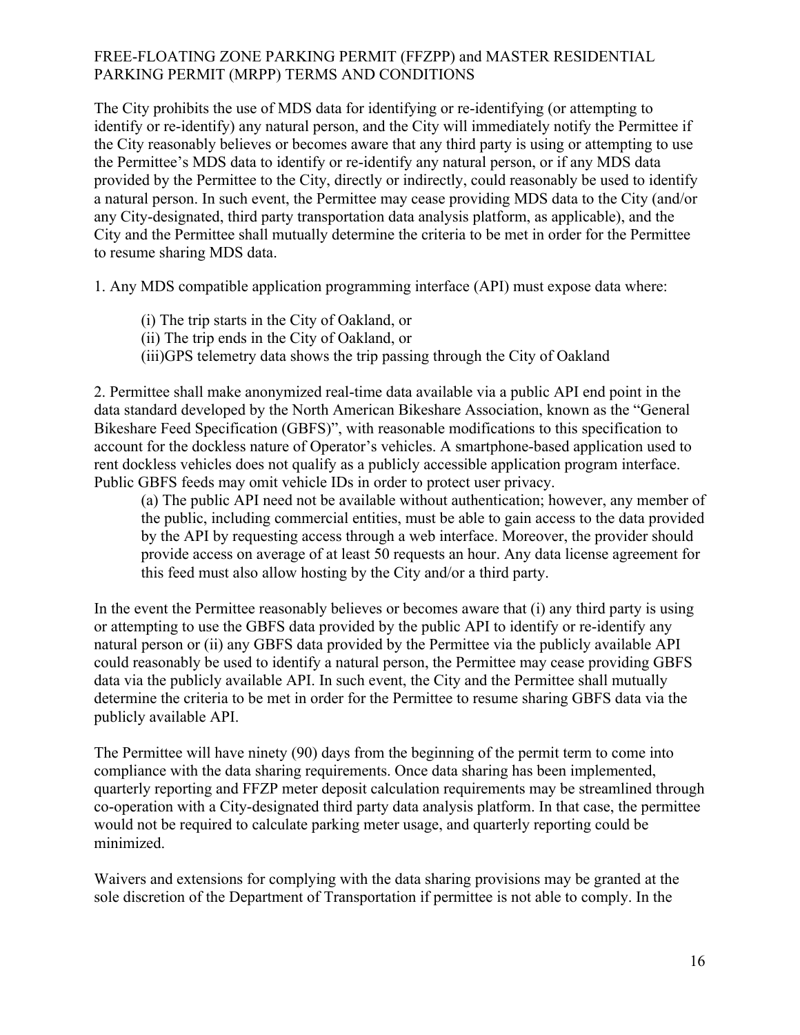The City prohibits the use of MDS data for identifying or re-identifying (or attempting to identify or re-identify) any natural person, and the City will immediately notify the Permittee if the City reasonably believes or becomes aware that any third party is using or attempting to use the Permittee's MDS data to identify or re-identify any natural person, or if any MDS data provided by the Permittee to the City, directly or indirectly, could reasonably be used to identify a natural person. In such event, the Permittee may cease providing MDS data to the City (and/or any City-designated, third party transportation data analysis platform, as applicable), and the City and the Permittee shall mutually determine the criteria to be met in order for the Permittee to resume sharing MDS data.

1. Any MDS compatible application programming interface (API) must expose data where:

- (i) The trip starts in the City of Oakland, or
- (ii) The trip ends in the City of Oakland, or
- (iii)GPS telemetry data shows the trip passing through the City of Oakland

2. Permittee shall make anonymized real-time data available via a public API end point in the data standard developed by the North American Bikeshare Association, known as the "General Bikeshare Feed Specification (GBFS)", with reasonable modifications to this specification to account for the dockless nature of Operator's vehicles. A smartphone-based application used to rent dockless vehicles does not qualify as a publicly accessible application program interface. Public GBFS feeds may omit vehicle IDs in order to protect user privacy.

(a) The public API need not be available without authentication; however, any member of the public, including commercial entities, must be able to gain access to the data provided by the API by requesting access through a web interface. Moreover, the provider should provide access on average of at least 50 requests an hour. Any data license agreement for this feed must also allow hosting by the City and/or a third party.

In the event the Permittee reasonably believes or becomes aware that (i) any third party is using or attempting to use the GBFS data provided by the public API to identify or re-identify any natural person or (ii) any GBFS data provided by the Permittee via the publicly available API could reasonably be used to identify a natural person, the Permittee may cease providing GBFS data via the publicly available API. In such event, the City and the Permittee shall mutually determine the criteria to be met in order for the Permittee to resume sharing GBFS data via the publicly available API.

The Permittee will have ninety (90) days from the beginning of the permit term to come into compliance with the data sharing requirements. Once data sharing has been implemented, quarterly reporting and FFZP meter deposit calculation requirements may be streamlined through co-operation with a City-designated third party data analysis platform. In that case, the permittee would not be required to calculate parking meter usage, and quarterly reporting could be minimized.

Waivers and extensions for complying with the data sharing provisions may be granted at the sole discretion of the Department of Transportation if permittee is not able to comply. In the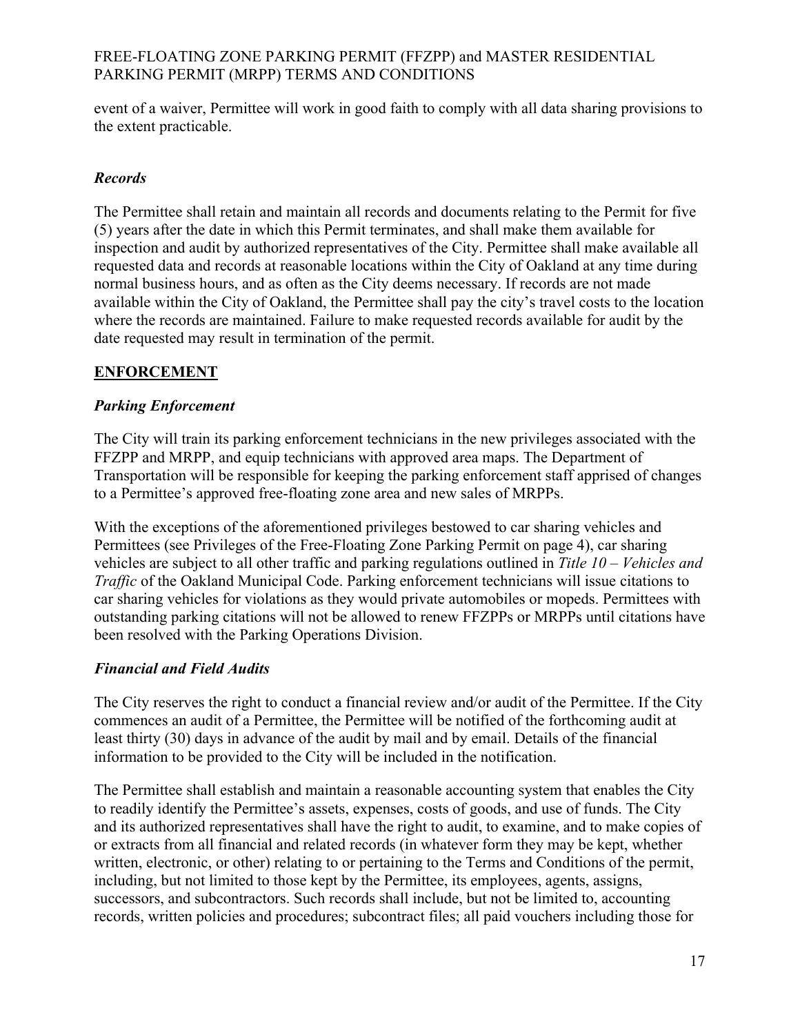event of a waiver, Permittee will work in good faith to comply with all data sharing provisions to the extent practicable.

# *Records*

The Permittee shall retain and maintain all records and documents relating to the Permit for five (5) years after the date in which this Permit terminates, and shall make them available for inspection and audit by authorized representatives of the City. Permittee shall make available all requested data and records at reasonable locations within the City of Oakland at any time during normal business hours, and as often as the City deems necessary. If records are not made available within the City of Oakland, the Permittee shall pay the city's travel costs to the location where the records are maintained. Failure to make requested records available for audit by the date requested may result in termination of the permit.

# **ENFORCEMENT**

## *Parking Enforcement*

The City will train its parking enforcement technicians in the new privileges associated with the FFZPP and MRPP, and equip technicians with approved area maps. The Department of Transportation will be responsible for keeping the parking enforcement staff apprised of changes to a Permittee's approved free-floating zone area and new sales of MRPPs.

With the exceptions of the aforementioned privileges bestowed to car sharing vehicles and Permittees (see Privileges of the Free-Floating Zone Parking Permit on page 4), car sharing vehicles are subject to all other traffic and parking regulations outlined in *Title 10 – Vehicles and Traffic* of the Oakland Municipal Code. Parking enforcement technicians will issue citations to car sharing vehicles for violations as they would private automobiles or mopeds. Permittees with outstanding parking citations will not be allowed to renew FFZPPs or MRPPs until citations have been resolved with the Parking Operations Division.

## *Financial and Field Audits*

The City reserves the right to conduct a financial review and/or audit of the Permittee. If the City commences an audit of a Permittee, the Permittee will be notified of the forthcoming audit at least thirty (30) days in advance of the audit by mail and by email. Details of the financial information to be provided to the City will be included in the notification.

The Permittee shall establish and maintain a reasonable accounting system that enables the City to readily identify the Permittee's assets, expenses, costs of goods, and use of funds. The City and its authorized representatives shall have the right to audit, to examine, and to make copies of or extracts from all financial and related records (in whatever form they may be kept, whether written, electronic, or other) relating to or pertaining to the Terms and Conditions of the permit, including, but not limited to those kept by the Permittee, its employees, agents, assigns, successors, and subcontractors. Such records shall include, but not be limited to, accounting records, written policies and procedures; subcontract files; all paid vouchers including those for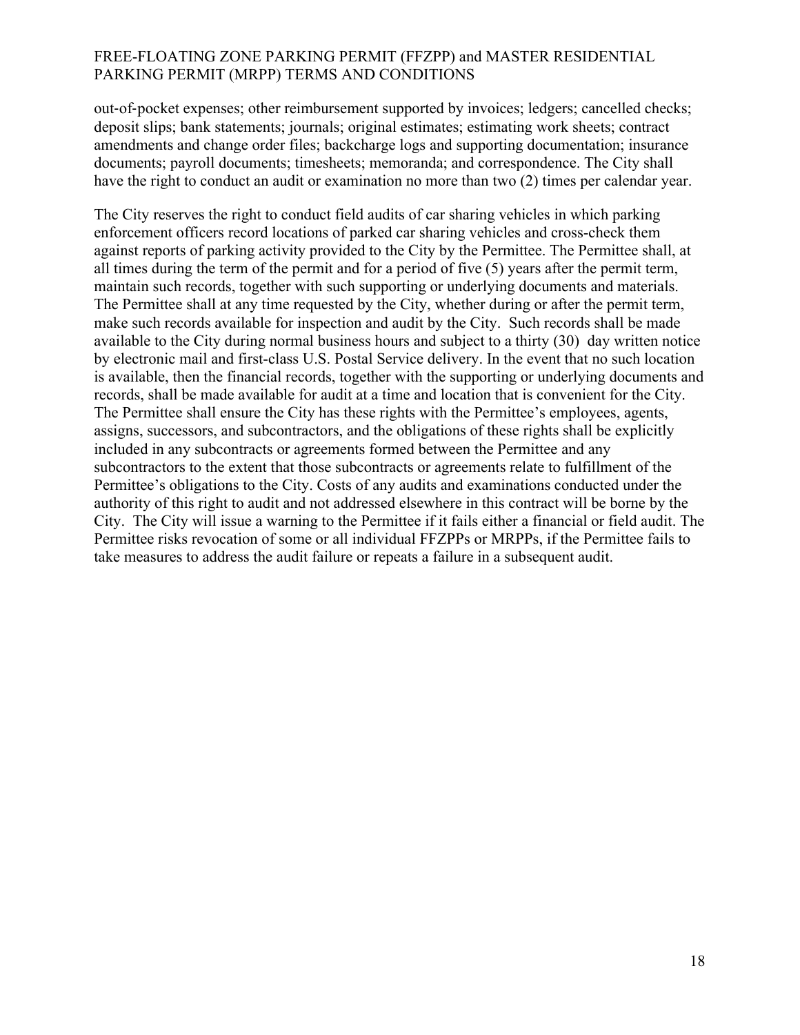out-of-pocket expenses; other reimbursement supported by invoices; ledgers; cancelled checks; deposit slips; bank statements; journals; original estimates; estimating work sheets; contract amendments and change order files; backcharge logs and supporting documentation; insurance documents; payroll documents; timesheets; memoranda; and correspondence. The City shall have the right to conduct an audit or examination no more than two (2) times per calendar year.

The City reserves the right to conduct field audits of car sharing vehicles in which parking enforcement officers record locations of parked car sharing vehicles and cross-check them against reports of parking activity provided to the City by the Permittee. The Permittee shall, at all times during the term of the permit and for a period of five (5) years after the permit term, maintain such records, together with such supporting or underlying documents and materials. The Permittee shall at any time requested by the City, whether during or after the permit term, make such records available for inspection and audit by the City. Such records shall be made available to the City during normal business hours and subject to a thirty (30) day written notice by electronic mail and first-class U.S. Postal Service delivery. In the event that no such location is available, then the financial records, together with the supporting or underlying documents and records, shall be made available for audit at a time and location that is convenient for the City. The Permittee shall ensure the City has these rights with the Permittee's employees, agents, assigns, successors, and subcontractors, and the obligations of these rights shall be explicitly included in any subcontracts or agreements formed between the Permittee and any subcontractors to the extent that those subcontracts or agreements relate to fulfillment of the Permittee's obligations to the City. Costs of any audits and examinations conducted under the authority of this right to audit and not addressed elsewhere in this contract will be borne by the City. The City will issue a warning to the Permittee if it fails either a financial or field audit. The Permittee risks revocation of some or all individual FFZPPs or MRPPs, if the Permittee fails to take measures to address the audit failure or repeats a failure in a subsequent audit.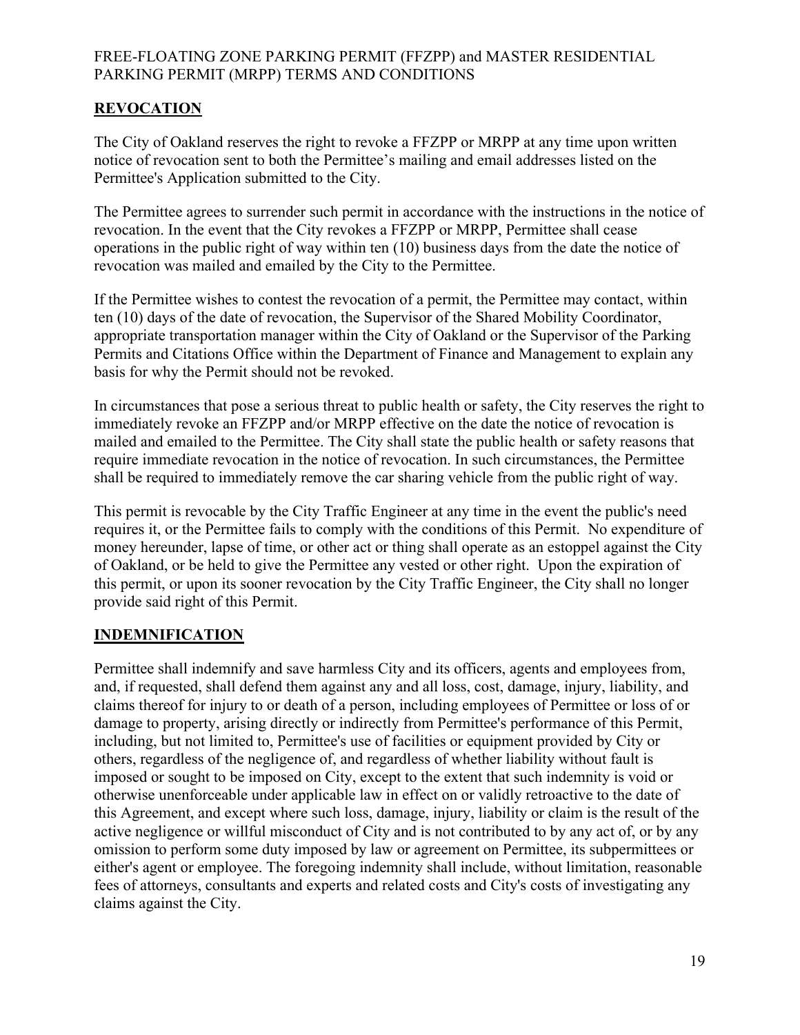# **REVOCATION**

The City of Oakland reserves the right to revoke a FFZPP or MRPP at any time upon written notice of revocation sent to both the Permittee's mailing and email addresses listed on the Permittee's Application submitted to the City.

The Permittee agrees to surrender such permit in accordance with the instructions in the notice of revocation. In the event that the City revokes a FFZPP or MRPP, Permittee shall cease operations in the public right of way within ten (10) business days from the date the notice of revocation was mailed and emailed by the City to the Permittee.

If the Permittee wishes to contest the revocation of a permit, the Permittee may contact, within ten (10) days of the date of revocation, the Supervisor of the Shared Mobility Coordinator, appropriate transportation manager within the City of Oakland or the Supervisor of the Parking Permits and Citations Office within the Department of Finance and Management to explain any basis for why the Permit should not be revoked.

In circumstances that pose a serious threat to public health or safety, the City reserves the right to immediately revoke an FFZPP and/or MRPP effective on the date the notice of revocation is mailed and emailed to the Permittee. The City shall state the public health or safety reasons that require immediate revocation in the notice of revocation. In such circumstances, the Permittee shall be required to immediately remove the car sharing vehicle from the public right of way.

This permit is revocable by the City Traffic Engineer at any time in the event the public's need requires it, or the Permittee fails to comply with the conditions of this Permit. No expenditure of money hereunder, lapse of time, or other act or thing shall operate as an estoppel against the City of Oakland, or be held to give the Permittee any vested or other right. Upon the expiration of this permit, or upon its sooner revocation by the City Traffic Engineer, the City shall no longer provide said right of this Permit.

## **INDEMNIFICATION**

Permittee shall indemnify and save harmless City and its officers, agents and employees from, and, if requested, shall defend them against any and all loss, cost, damage, injury, liability, and claims thereof for injury to or death of a person, including employees of Permittee or loss of or damage to property, arising directly or indirectly from Permittee's performance of this Permit, including, but not limited to, Permittee's use of facilities or equipment provided by City or others, regardless of the negligence of, and regardless of whether liability without fault is imposed or sought to be imposed on City, except to the extent that such indemnity is void or otherwise unenforceable under applicable law in effect on or validly retroactive to the date of this Agreement, and except where such loss, damage, injury, liability or claim is the result of the active negligence or willful misconduct of City and is not contributed to by any act of, or by any omission to perform some duty imposed by law or agreement on Permittee, its subpermittees or either's agent or employee. The foregoing indemnity shall include, without limitation, reasonable fees of attorneys, consultants and experts and related costs and City's costs of investigating any claims against the City.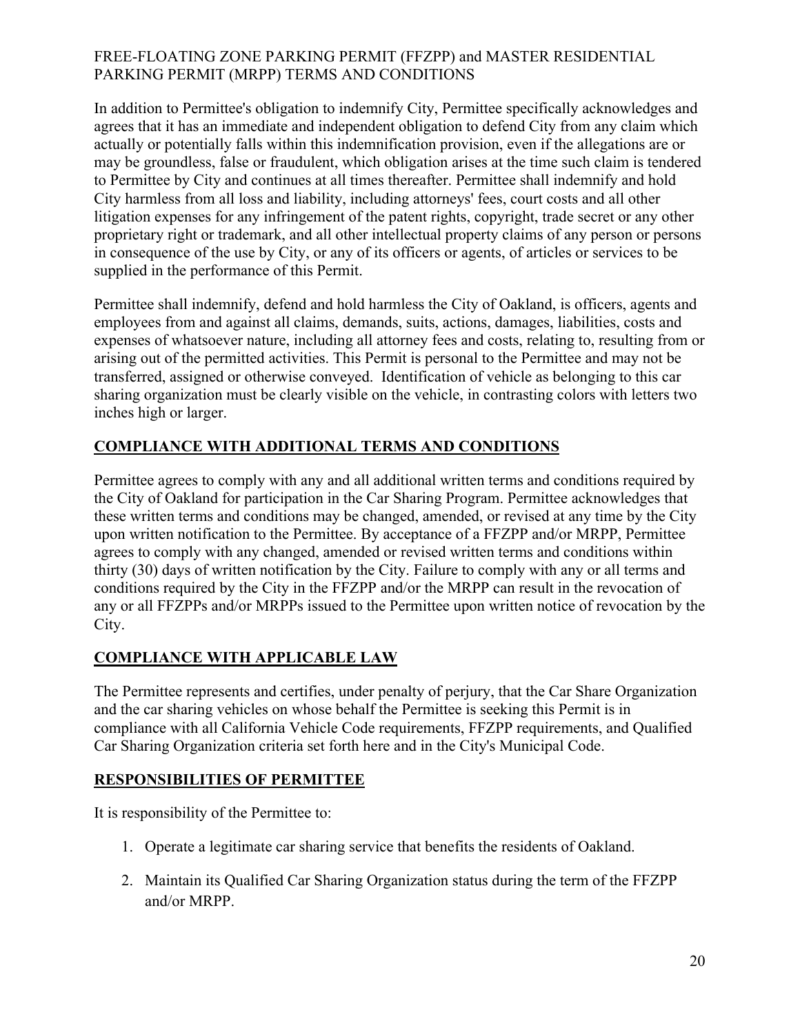In addition to Permittee's obligation to indemnify City, Permittee specifically acknowledges and agrees that it has an immediate and independent obligation to defend City from any claim which actually or potentially falls within this indemnification provision, even if the allegations are or may be groundless, false or fraudulent, which obligation arises at the time such claim is tendered to Permittee by City and continues at all times thereafter. Permittee shall indemnify and hold City harmless from all loss and liability, including attorneys' fees, court costs and all other litigation expenses for any infringement of the patent rights, copyright, trade secret or any other proprietary right or trademark, and all other intellectual property claims of any person or persons in consequence of the use by City, or any of its officers or agents, of articles or services to be supplied in the performance of this Permit.

Permittee shall indemnify, defend and hold harmless the City of Oakland, is officers, agents and employees from and against all claims, demands, suits, actions, damages, liabilities, costs and expenses of whatsoever nature, including all attorney fees and costs, relating to, resulting from or arising out of the permitted activities. This Permit is personal to the Permittee and may not be transferred, assigned or otherwise conveyed. Identification of vehicle as belonging to this car sharing organization must be clearly visible on the vehicle, in contrasting colors with letters two inches high or larger.

# **COMPLIANCE WITH ADDITIONAL TERMS AND CONDITIONS**

Permittee agrees to comply with any and all additional written terms and conditions required by the City of Oakland for participation in the Car Sharing Program. Permittee acknowledges that these written terms and conditions may be changed, amended, or revised at any time by the City upon written notification to the Permittee. By acceptance of a FFZPP and/or MRPP, Permittee agrees to comply with any changed, amended or revised written terms and conditions within thirty (30) days of written notification by the City. Failure to comply with any or all terms and conditions required by the City in the FFZPP and/or the MRPP can result in the revocation of any or all FFZPPs and/or MRPPs issued to the Permittee upon written notice of revocation by the City.

# **COMPLIANCE WITH APPLICABLE LAW**

The Permittee represents and certifies, under penalty of perjury, that the Car Share Organization and the car sharing vehicles on whose behalf the Permittee is seeking this Permit is in compliance with all California Vehicle Code requirements, FFZPP requirements, and Qualified Car Sharing Organization criteria set forth here and in the City's Municipal Code.

# **RESPONSIBILITIES OF PERMITTEE**

It is responsibility of the Permittee to:

- 1. Operate a legitimate car sharing service that benefits the residents of Oakland.
- 2. Maintain its Qualified Car Sharing Organization status during the term of the FFZPP and/or MRPP.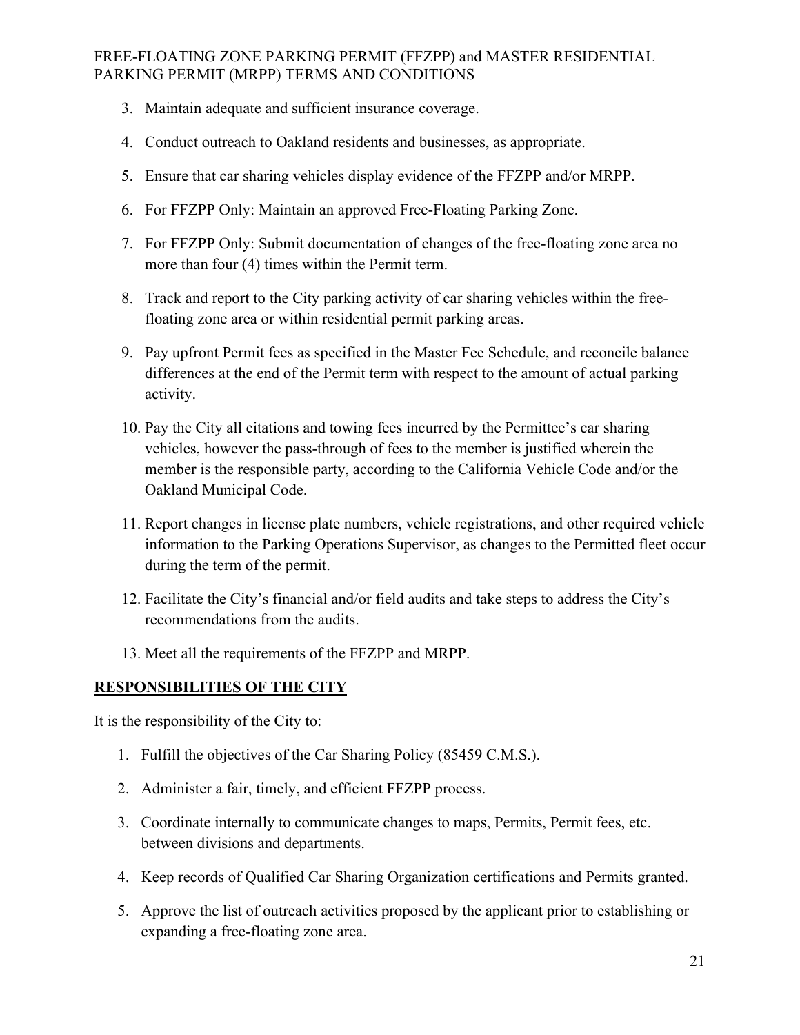- 3. Maintain adequate and sufficient insurance coverage.
- 4. Conduct outreach to Oakland residents and businesses, as appropriate.
- 5. Ensure that car sharing vehicles display evidence of the FFZPP and/or MRPP.
- 6. For FFZPP Only: Maintain an approved Free-Floating Parking Zone.
- 7. For FFZPP Only: Submit documentation of changes of the free-floating zone area no more than four (4) times within the Permit term.
- 8. Track and report to the City parking activity of car sharing vehicles within the freefloating zone area or within residential permit parking areas.
- 9. Pay upfront Permit fees as specified in the Master Fee Schedule, and reconcile balance differences at the end of the Permit term with respect to the amount of actual parking activity.
- 10. Pay the City all citations and towing fees incurred by the Permittee's car sharing vehicles, however the pass-through of fees to the member is justified wherein the member is the responsible party, according to the California Vehicle Code and/or the Oakland Municipal Code.
- 11. Report changes in license plate numbers, vehicle registrations, and other required vehicle information to the Parking Operations Supervisor, as changes to the Permitted fleet occur during the term of the permit.
- 12. Facilitate the City's financial and/or field audits and take steps to address the City's recommendations from the audits.
- 13. Meet all the requirements of the FFZPP and MRPP.

## **RESPONSIBILITIES OF THE CITY**

It is the responsibility of the City to:

- 1. Fulfill the objectives of the Car Sharing Policy (85459 C.M.S.).
- 2. Administer a fair, timely, and efficient FFZPP process.
- 3. Coordinate internally to communicate changes to maps, Permits, Permit fees, etc. between divisions and departments.
- 4. Keep records of Qualified Car Sharing Organization certifications and Permits granted.
- 5. Approve the list of outreach activities proposed by the applicant prior to establishing or expanding a free-floating zone area.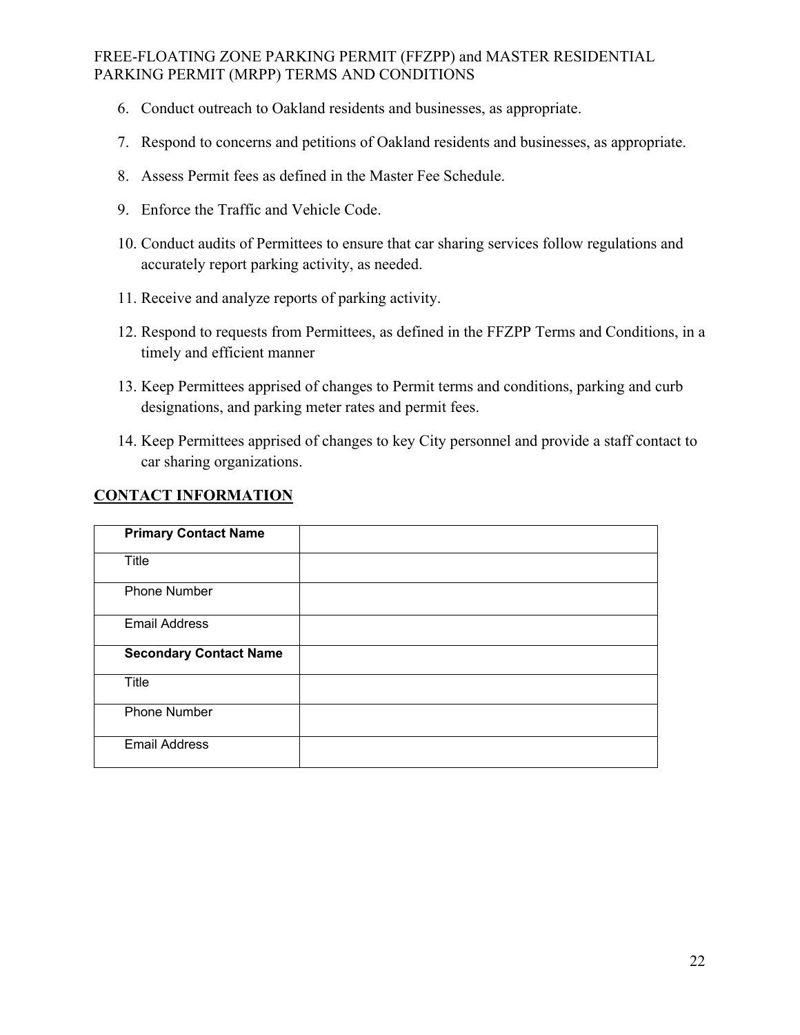- 6. Conduct outreach to Oakland residents and businesses, as appropriate.
- 7. Respond to concerns and petitions of Oakland residents and businesses, as appropriate.
- 8. Assess Permit fees as defined in the Master Fee Schedule.
- 9. Enforce the Traffic and Vehicle Code.
- 10. Conduct audits of Permittees to ensure that car sharing services follow regulations and accurately report parking activity, as needed.
- 11. Receive and analyze reports of parking activity.
- 12. Respond to requests from Permittees, as defined in the FFZPP Terms and Conditions, in a timely and efficient manner
- 13. Keep Permittees apprised of changes to Permit terms and conditions, parking and curb designations, and parking meter rates and permit fees.
- 14. Keep Permittees apprised of changes to key City personnel and provide a staff contact to car sharing organizations.

## **CONTACT INFORMATION**

| <b>Primary Contact Name</b>   |  |
|-------------------------------|--|
| <b>Title</b>                  |  |
| <b>Phone Number</b>           |  |
| <b>Email Address</b>          |  |
| <b>Secondary Contact Name</b> |  |
| <b>Title</b>                  |  |
| <b>Phone Number</b>           |  |
| <b>Email Address</b>          |  |